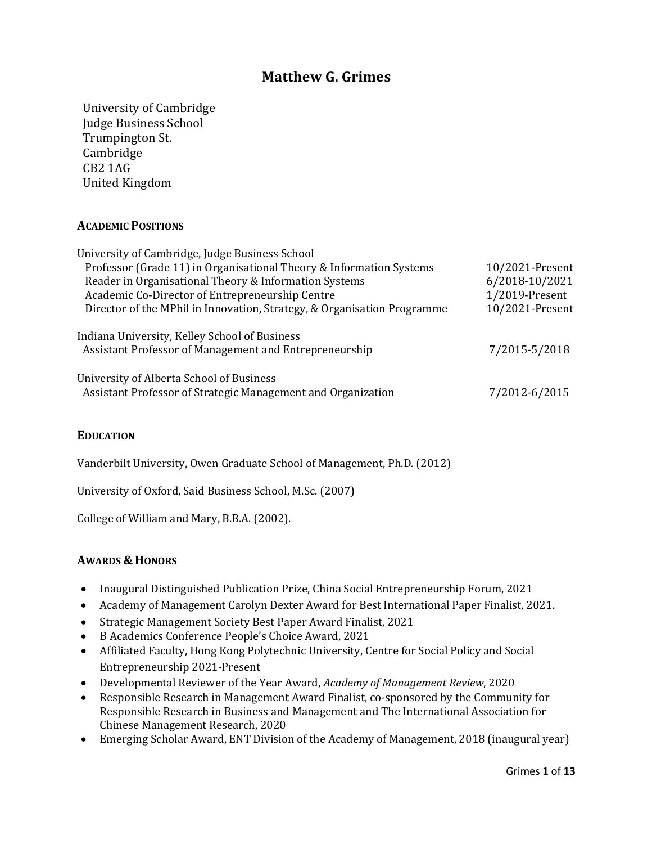## **Matthew G. Grimes**

University of Cambridge Judge Business School Trumpington St. Cambridge CB2 1AG United Kingdom

## **ACADEMIC POSITIONS**

| University of Cambridge, Judge Business School                                                           |                 |
|----------------------------------------------------------------------------------------------------------|-----------------|
| Professor (Grade 11) in Organisational Theory & Information Systems                                      | 10/2021-Present |
| Reader in Organisational Theory & Information Systems                                                    | 6/2018-10/2021  |
| Academic Co-Director of Entrepreneurship Centre                                                          | 1/2019-Present  |
| Director of the MPhil in Innovation, Strategy, & Organisation Programme                                  | 10/2021-Present |
| Indiana University, Kelley School of Business<br>Assistant Professor of Management and Entrepreneurship  | 7/2015-5/2018   |
| University of Alberta School of Business<br>Assistant Professor of Strategic Management and Organization | 7/2012-6/2015   |

#### **EDUCATION**

Vanderbilt University, Owen Graduate School of Management, Ph.D. (2012)

University of Oxford, Said Business School, M.Sc. (2007)

College of William and Mary, B.B.A. (2002).

#### **AWARDS & HONORS**

- Inaugural Distinguished Publication Prize, China Social Entrepreneurship Forum, 2021
- Academy of Management Carolyn Dexter Award for Best International Paper Finalist, 2021.
- Strategic Management Society Best Paper Award Finalist, 2021
- B Academics Conference People's Choice Award, 2021
- Affiliated Faculty, Hong Kong Polytechnic University, Centre for Social Policy and Social Entrepreneurship 2021-Present
- Developmental Reviewer of the Year Award, *Academy of Management Review*, 2020
- Responsible Research in Management Award Finalist, co-sponsored by the Community for Responsible Research in Business and Management and The International Association for Chinese Management Research, 2020
- Emerging Scholar Award, ENT Division of the Academy of Management, 2018 (inaugural year)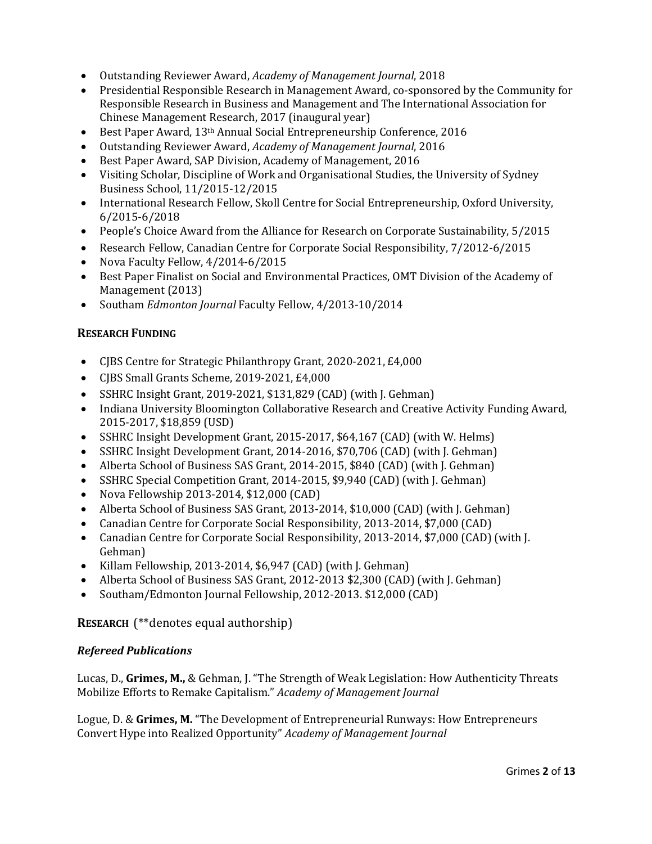- Outstanding Reviewer Award, *Academy of Management Journal*, 2018
- Presidential Responsible Research in Management Award, co-sponsored by the Community for Responsible Research in Business and Management and The International Association for Chinese Management Research, 2017 (inaugural year)
- Best Paper Award, 13<sup>th</sup> Annual Social Entrepreneurship Conference, 2016
- Outstanding Reviewer Award, *Academy of Management Journal*, 2016
- Best Paper Award, SAP Division, Academy of Management, 2016
- Visiting Scholar, Discipline of Work and Organisational Studies, the University of Sydney Business School, 11/2015-12/2015
- International Research Fellow, Skoll Centre for Social Entrepreneurship, Oxford University, 6/2015-6/2018
- People's Choice Award from the Alliance for Research on Corporate Sustainability, 5/2015
- Research Fellow, Canadian Centre for Corporate Social Responsibility, 7/2012-6/2015
- Nova Faculty Fellow, 4/2014-6/2015
- Best Paper Finalist on Social and Environmental Practices, OMT Division of the Academy of Management (2013)
- Southam *Edmonton Journal* Faculty Fellow, 4/2013-10/2014

## **RESEARCH FUNDING**

- CJBS Centre for Strategic Philanthropy Grant, 2020-2021, £4,000
- CJBS Small Grants Scheme, 2019-2021, £4,000
- SSHRC Insight Grant, 2019-2021, \$131,829 (CAD) (with J. Gehman)
- Indiana University Bloomington Collaborative Research and Creative Activity Funding Award, 2015-2017, \$18,859 (USD)
- SSHRC Insight Development Grant, 2015-2017, \$64,167 (CAD) (with W. Helms)
- SSHRC Insight Development Grant, 2014-2016, \$70,706 (CAD) (with J. Gehman)
- Alberta School of Business SAS Grant, 2014-2015, \$840 (CAD) (with J. Gehman)
- SSHRC Special Competition Grant, 2014-2015, \$9,940 (CAD) (with J. Gehman)
- Nova Fellowship 2013-2014, \$12,000 (CAD)
- Alberta School of Business SAS Grant, 2013-2014, \$10,000 (CAD) (with J. Gehman)
- Canadian Centre for Corporate Social Responsibility, 2013-2014, \$7,000 (CAD)
- Canadian Centre for Corporate Social Responsibility, 2013-2014, \$7,000 (CAD) (with J. Gehman)
- Killam Fellowship, 2013-2014, \$6,947 (CAD) (with J. Gehman)
- Alberta School of Business SAS Grant, 2012-2013 \$2,300 (CAD) (with J. Gehman)
- Southam/Edmonton Journal Fellowship, 2012-2013. \$12,000 (CAD)

## **RESEARCH** (\*\*denotes equal authorship)

## *Refereed Publications*

Lucas, D., Grimes, M., & Gehman, J. "The Strength of Weak Legislation: How Authenticity Threats Mobilize Efforts to Remake Capitalism." Academy of Management Journal

Logue, D. & Grimes, M. "The Development of Entrepreneurial Runways: How Entrepreneurs Convert Hype into Realized Opportunity" *Academy of Management Journal*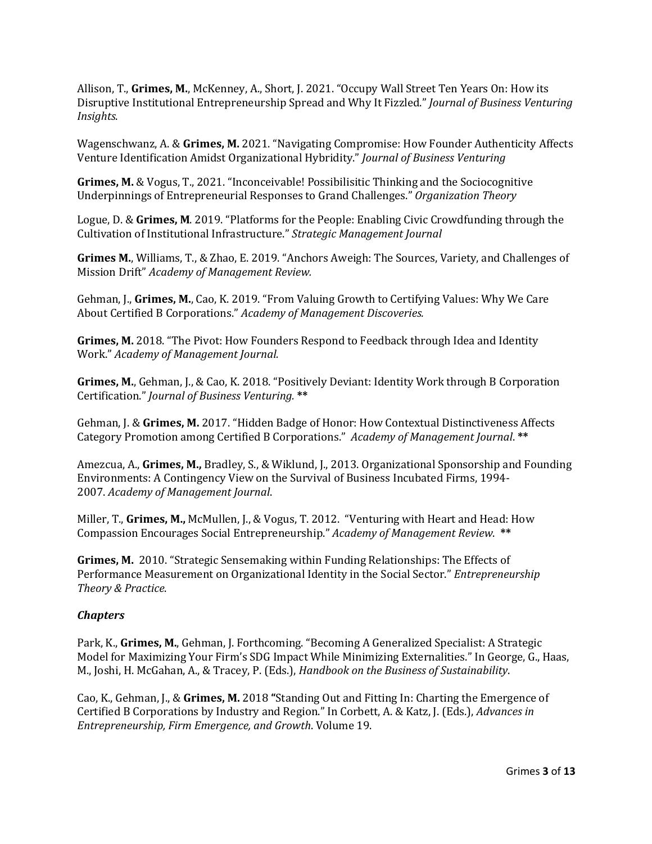Allison, T., Grimes, M., McKenney, A., Short, J. 2021. "Occupy Wall Street Ten Years On: How its Disruptive Institutional Entrepreneurship Spread and Why It Fizzled." *Journal of Business Venturing Insights*.

Wagenschwanz, A. & Grimes, M. 2021. "Navigating Compromise: How Founder Authenticity Affects Venture Identification Amidst Organizational Hybridity." *Journal of Business Venturing* 

**Grimes, M.** & Vogus, T., 2021. "Inconceivable! Possibilisitic Thinking and the Sociocognitive Underpinnings of Entrepreneurial Responses to Grand Challenges." Organization Theory

Logue, D. & Grimes, M. 2019. "Platforms for the People: Enabling Civic Crowdfunding through the Cultivation of Institutional Infrastructure." Strategic Management Journal

**Grimes M.**, Williams, T., & Zhao, E. 2019. "Anchors Aweigh: The Sources, Variety, and Challenges of Mission Drift" *Academy of Management Review.*

Gehman, J., Grimes, M., Cao, K. 2019. "From Valuing Growth to Certifying Values: Why We Care About Certified B Corporations." Academy of Management Discoveries.

**Grimes, M.** 2018. "The Pivot: How Founders Respond to Feedback through Idea and Identity Work." *Academy of Management Journal.*

**Grimes, M.**, Gehman, J., & Cao, K. 2018. "Positively Deviant: Identity Work through B Corporation Certification." *Journal of Business Venturing.* **\*\***

Gehman, J. & Grimes, M. 2017. "Hidden Badge of Honor: How Contextual Distinctiveness Affects Category Promotion among Certified B Corporations." *Academy of Management Journal*. **\*\***

Amezcua, A., Grimes, M., Bradley, S., & Wiklund, J., 2013. Organizational Sponsorship and Founding Environments: A Contingency View on the Survival of Business Incubated Firms, 1994-2007. Academy of Management Journal.

Miller, T., Grimes, M., McMullen, J., & Vogus, T. 2012. "Venturing with Heart and Head: How Compassion Encourages Social Entrepreneurship." Academy of Management Review. **\*\*** 

**Grimes, M.** 2010. "Strategic Sensemaking within Funding Relationships: The Effects of Performance Measurement on Organizational Identity in the Social Sector." *Entrepreneurship Theory & Practice*. 

#### *Chapters*

Park, K., Grimes, M., Gehman, J. Forthcoming. "Becoming A Generalized Specialist: A Strategic Model for Maximizing Your Firm's SDG Impact While Minimizing Externalities." In George, G., Haas, M., Joshi, H. McGahan, A., & Tracey, P. (Eds.), *Handbook on the Business of Sustainability*.

Cao, K., Gehman, J., & Grimes, M. 2018 "Standing Out and Fitting In: Charting the Emergence of Certified B Corporations by Industry and Region." In Corbett, A. & Katz, J. (Eds.), *Advances in Entrepreneurship, Firm Emergence, and Growth*. Volume 19.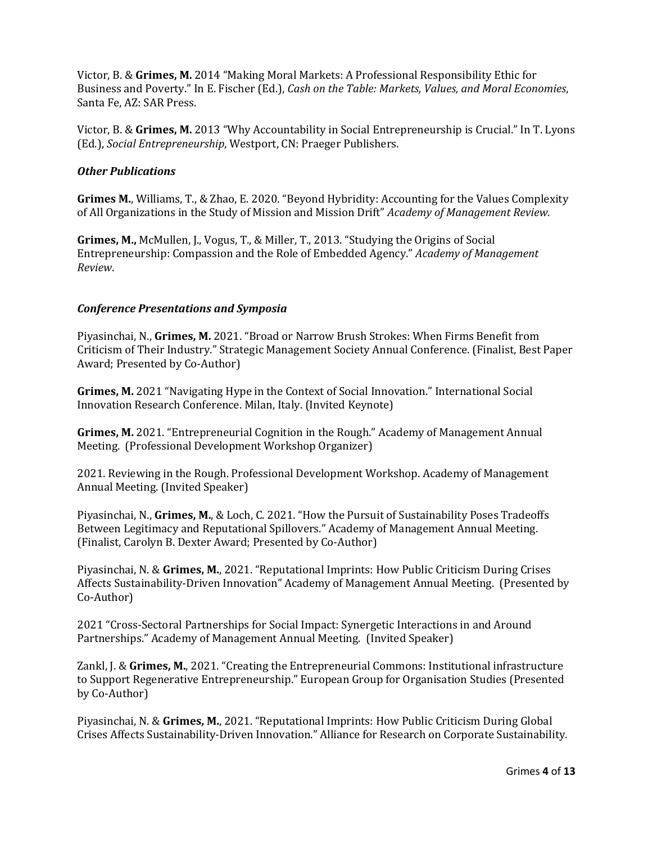Victor, B. & Grimes, M. 2014 "Making Moral Markets: A Professional Responsibility Ethic for Business and Poverty." In E. Fischer (Ed.), *Cash on the Table: Markets, Values, and Moral Economies*, Santa Fe, AZ: SAR Press.

Victor, B. & Grimes, M. 2013 "Why Accountability in Social Entrepreneurship is Crucial." In T. Lyons (Ed.), *Social Entrepreneurship*, Westport, CN: Praeger Publishers.

#### *Other Publications*

**Grimes M.**, Williams, T., & Zhao, E. 2020. "Beyond Hybridity: Accounting for the Values Complexity of All Organizations in the Study of Mission and Mission Drift" *Academy of Management Review.* 

**Grimes, M., McMullen, J., Vogus, T., & Miller, T., 2013. "Studying the Origins of Social** Entrepreneurship: Compassion and the Role of Embedded Agency." *Academy of Management Review*.

#### *Conference Presentations and Symposia*

Piyasinchai, N., Grimes, M. 2021. "Broad or Narrow Brush Strokes: When Firms Benefit from Criticism of Their Industry." Strategic Management Society Annual Conference. (Finalist, Best Paper Award; Presented by Co-Author)

**Grimes, M.** 2021 "Navigating Hype in the Context of Social Innovation." International Social Innovation Research Conference. Milan, Italy. (Invited Keynote)

**Grimes, M.** 2021. "Entrepreneurial Cognition in the Rough." Academy of Management Annual Meeting. (Professional Development Workshop Organizer)

2021. Reviewing in the Rough. Professional Development Workshop. Academy of Management Annual Meeting. (Invited Speaker)

Piyasinchai, N., Grimes, M., & Loch, C. 2021. "How the Pursuit of Sustainability Poses Tradeoffs Between Legitimacy and Reputational Spillovers." Academy of Management Annual Meeting. (Finalist, Carolyn B. Dexter Award; Presented by Co-Author)

Piyasinchai, N. & Grimes, M., 2021. "Reputational Imprints: How Public Criticism During Crises Affects Sustainability-Driven Innovation" Academy of Management Annual Meeting. (Presented by Co-Author)

2021 "Cross-Sectoral Partnerships for Social Impact: Synergetic Interactions in and Around Partnerships." Academy of Management Annual Meeting. (Invited Speaker)

Zankl, J. & Grimes, M., 2021. "Creating the Entrepreneurial Commons: Institutional infrastructure to Support Regenerative Entrepreneurship." European Group for Organisation Studies (Presented by Co-Author)

Piyasinchai, N. & Grimes, M., 2021. "Reputational Imprints: How Public Criticism During Global Crises Affects Sustainability-Driven Innovation." Alliance for Research on Corporate Sustainability.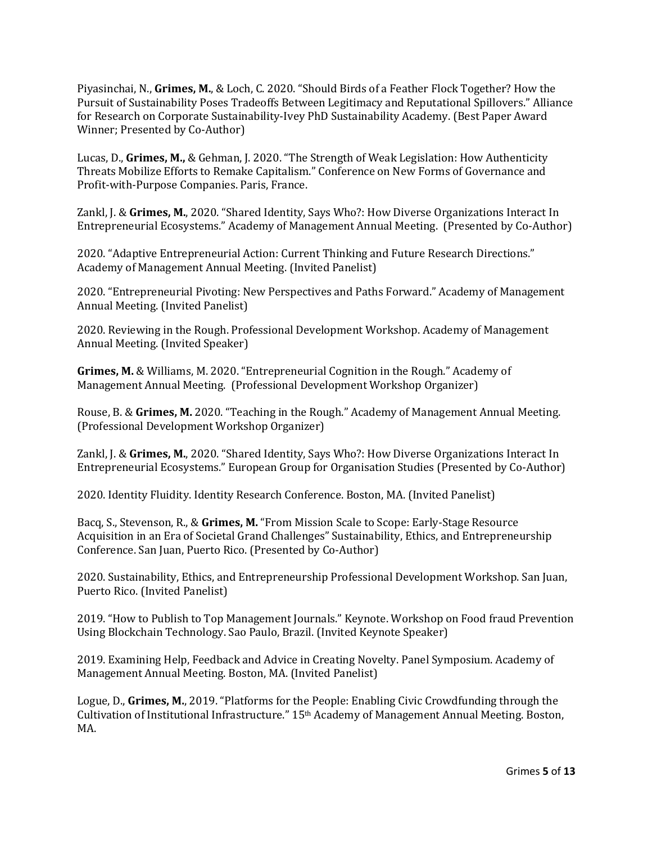Piyasinchai, N., Grimes, M., & Loch, C. 2020. "Should Birds of a Feather Flock Together? How the Pursuit of Sustainability Poses Tradeoffs Between Legitimacy and Reputational Spillovers." Alliance for Research on Corporate Sustainability-Ivey PhD Sustainability Academy. (Best Paper Award Winner; Presented by Co-Author)

Lucas, D., Grimes, M., & Gehman, J. 2020. "The Strength of Weak Legislation: How Authenticity Threats Mobilize Efforts to Remake Capitalism." Conference on New Forms of Governance and Profit-with-Purpose Companies. Paris, France.

Zankl, J. & Grimes, M., 2020. "Shared Identity, Says Who?: How Diverse Organizations Interact In Entrepreneurial Ecosystems." Academy of Management Annual Meeting. (Presented by Co-Author)

2020. "Adaptive Entrepreneurial Action: Current Thinking and Future Research Directions." Academy of Management Annual Meeting. (Invited Panelist)

2020. "Entrepreneurial Pivoting: New Perspectives and Paths Forward." Academy of Management Annual Meeting. (Invited Panelist)

2020. Reviewing in the Rough. Professional Development Workshop. Academy of Management Annual Meeting. (Invited Speaker)

**Grimes, M.** & Williams, M. 2020. "Entrepreneurial Cognition in the Rough." Academy of Management Annual Meeting. (Professional Development Workshop Organizer)

Rouse, B. & Grimes, M. 2020. "Teaching in the Rough." Academy of Management Annual Meeting. (Professional Development Workshop Organizer)

Zankl, J. & Grimes, M., 2020. "Shared Identity, Says Who?: How Diverse Organizations Interact In Entrepreneurial Ecosystems." European Group for Organisation Studies (Presented by Co-Author)

2020. Identity Fluidity. Identity Research Conference. Boston, MA. (Invited Panelist)

Bacq, S., Stevenson, R., & Grimes, M. "From Mission Scale to Scope: Early-Stage Resource Acquisition in an Era of Societal Grand Challenges" Sustainability, Ethics, and Entrepreneurship Conference. San Juan, Puerto Rico. (Presented by Co-Author)

2020. Sustainability, Ethics, and Entrepreneurship Professional Development Workshop. San Juan, Puerto Rico. (Invited Panelist)

2019. "How to Publish to Top Management Journals." Keynote. Workshop on Food fraud Prevention Using Blockchain Technology. Sao Paulo, Brazil. (Invited Keynote Speaker)

2019. Examining Help, Feedback and Advice in Creating Novelty. Panel Symposium. Academy of Management Annual Meeting. Boston, MA. (Invited Panelist)

Logue, D., Grimes, M., 2019. "Platforms for the People: Enabling Civic Crowdfunding through the Cultivation of Institutional Infrastructure." 15<sup>th</sup> Academy of Management Annual Meeting. Boston, MA.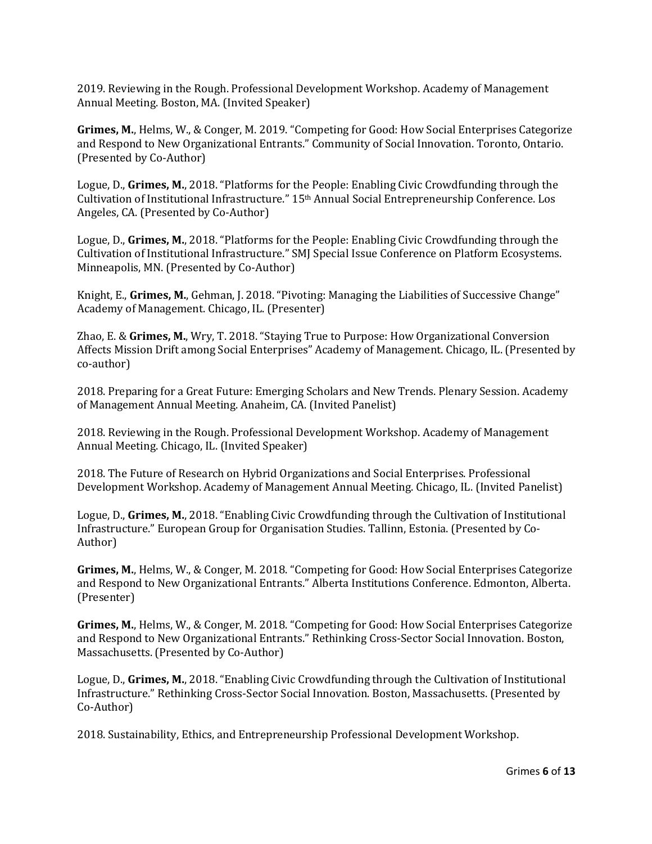2019. Reviewing in the Rough. Professional Development Workshop. Academy of Management Annual Meeting. Boston, MA. (Invited Speaker)

**Grimes, M., Helms, W., & Conger, M. 2019. "Competing for Good: How Social Enterprises Categorize** and Respond to New Organizational Entrants." Community of Social Innovation. Toronto, Ontario. (Presented by Co-Author)

Logue, D., Grimes, M., 2018. "Platforms for the People: Enabling Civic Crowdfunding through the Cultivation of Institutional Infrastructure." 15<sup>th</sup> Annual Social Entrepreneurship Conference. Los Angeles, CA. (Presented by Co-Author)

Logue, D., Grimes, M., 2018. "Platforms for the People: Enabling Civic Crowdfunding through the Cultivation of Institutional Infrastructure." SMJ Special Issue Conference on Platform Ecosystems. Minneapolis, MN. (Presented by Co-Author)

Knight, E., Grimes, M., Gehman, J. 2018. "Pivoting: Managing the Liabilities of Successive Change" Academy of Management. Chicago, IL. (Presenter)

Zhao, E. & Grimes, M., Wry, T. 2018. "Staying True to Purpose: How Organizational Conversion Affects Mission Drift among Social Enterprises" Academy of Management. Chicago, IL. (Presented by co-author)

2018. Preparing for a Great Future: Emerging Scholars and New Trends. Plenary Session. Academy of Management Annual Meeting. Anaheim, CA. (Invited Panelist)

2018. Reviewing in the Rough. Professional Development Workshop. Academy of Management Annual Meeting. Chicago, IL. (Invited Speaker)

2018. The Future of Research on Hybrid Organizations and Social Enterprises. Professional Development Workshop. Academy of Management Annual Meeting. Chicago, IL. (Invited Panelist)

Logue, D., Grimes, M., 2018. "Enabling Civic Crowdfunding through the Cultivation of Institutional Infrastructure." European Group for Organisation Studies. Tallinn, Estonia. (Presented by Co-Author)

**Grimes, M.**, Helms, W., & Conger, M. 2018. "Competing for Good: How Social Enterprises Categorize and Respond to New Organizational Entrants." Alberta Institutions Conference. Edmonton, Alberta. (Presenter)

**Grimes, M.**, Helms, W., & Conger, M. 2018. "Competing for Good: How Social Enterprises Categorize and Respond to New Organizational Entrants." Rethinking Cross-Sector Social Innovation. Boston, Massachusetts. (Presented by Co-Author)

Logue, D., Grimes, M., 2018. "Enabling Civic Crowdfunding through the Cultivation of Institutional Infrastructure." Rethinking Cross-Sector Social Innovation. Boston, Massachusetts. (Presented by Co-Author)

2018. Sustainability, Ethics, and Entrepreneurship Professional Development Workshop.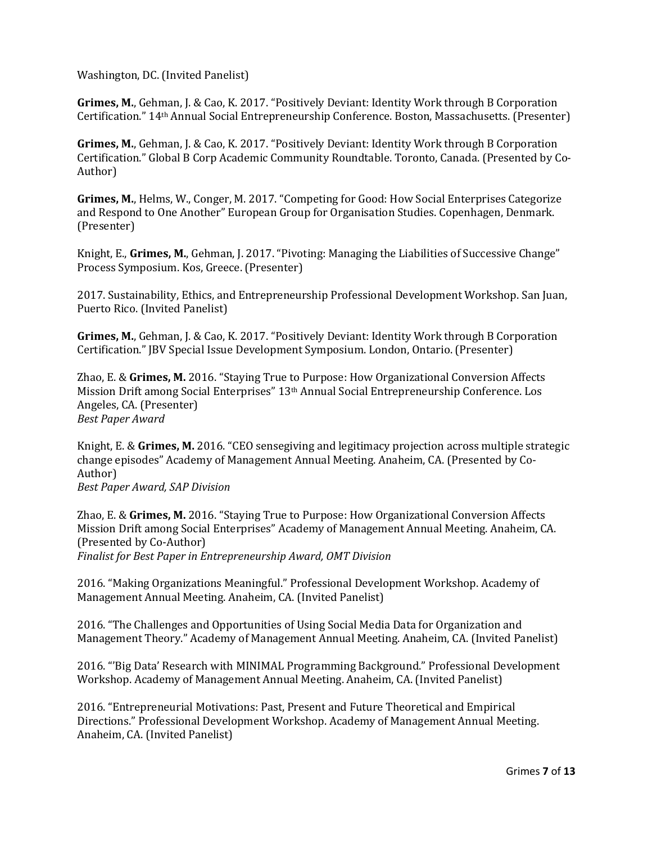Washington, DC. (Invited Panelist)

**Grimes, M.**, Gehman, J. & Cao, K. 2017. "Positively Deviant: Identity Work through B Corporation Certification." 14<sup>th</sup> Annual Social Entrepreneurship Conference. Boston, Massachusetts. (Presenter)

**Grimes, M.**, Gehman, J. & Cao, K. 2017. "Positively Deviant: Identity Work through B Corporation Certification." Global B Corp Academic Community Roundtable. Toronto, Canada. (Presented by Co-Author)

**Grimes, M.**, Helms, W., Conger, M. 2017. "Competing for Good: How Social Enterprises Categorize and Respond to One Another" European Group for Organisation Studies. Copenhagen, Denmark. (Presenter)

Knight, E., Grimes, M., Gehman, J. 2017. "Pivoting: Managing the Liabilities of Successive Change" Process Symposium. Kos, Greece. (Presenter)

2017. Sustainability, Ethics, and Entrepreneurship Professional Development Workshop. San Juan, Puerto Rico. (Invited Panelist)

**Grimes, M.**, Gehman, J. & Cao, K. 2017. "Positively Deviant: Identity Work through B Corporation Certification." [BV Special Issue Development Symposium. London, Ontario. (Presenter)

Zhao, E. & Grimes, M. 2016. "Staying True to Purpose: How Organizational Conversion Affects Mission Drift among Social Enterprises" 13th Annual Social Entrepreneurship Conference. Los Angeles, CA. (Presenter) *Best Paper Award*

Knight, E. & Grimes, M. 2016. "CEO sensegiving and legitimacy projection across multiple strategic change episodes" Academy of Management Annual Meeting. Anaheim, CA. (Presented by Co-Author)

*Best Paper Award, SAP Division*

Zhao, E. & Grimes, M. 2016. "Staying True to Purpose: How Organizational Conversion Affects Mission Drift among Social Enterprises" Academy of Management Annual Meeting. Anaheim, CA. (Presented by Co-Author)

Finalist for Best Paper in Entrepreneurship Award, OMT Division

2016. "Making Organizations Meaningful." Professional Development Workshop. Academy of Management Annual Meeting. Anaheim, CA. (Invited Panelist)

2016. "The Challenges and Opportunities of Using Social Media Data for Organization and Management Theory." Academy of Management Annual Meeting. Anaheim, CA. (Invited Panelist)

2016. "'Big Data' Research with MINIMAL Programming Background." Professional Development Workshop. Academy of Management Annual Meeting. Anaheim, CA. (Invited Panelist)

2016. "Entrepreneurial Motivations: Past, Present and Future Theoretical and Empirical Directions." Professional Development Workshop. Academy of Management Annual Meeting. Anaheim, CA. (Invited Panelist)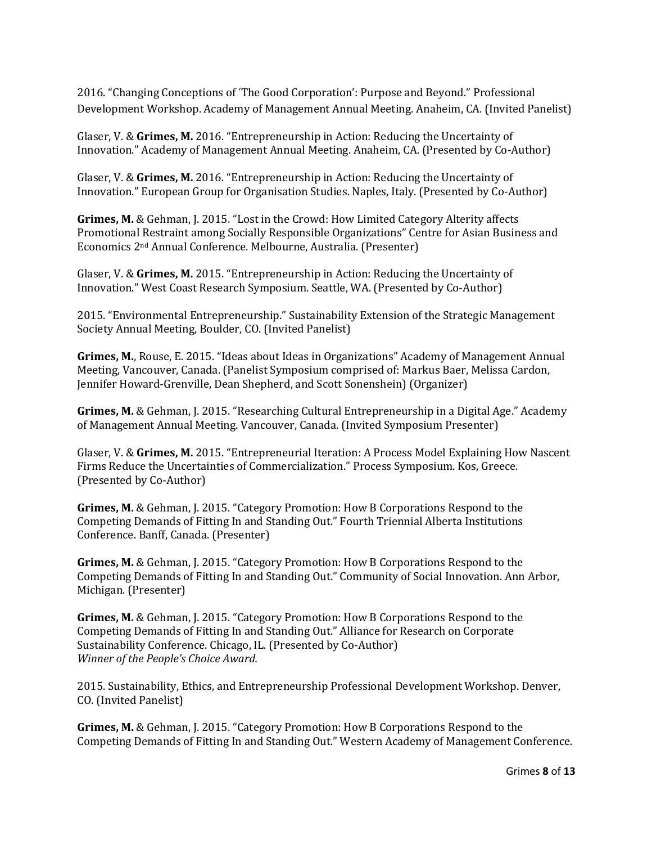2016. "Changing Conceptions of 'The Good Corporation': Purpose and Beyond." Professional Development Workshop. Academy of Management Annual Meeting. Anaheim, CA. (Invited Panelist)

Glaser, V. & Grimes, M. 2016. "Entrepreneurship in Action: Reducing the Uncertainty of Innovation." Academy of Management Annual Meeting. Anaheim, CA. (Presented by Co-Author)

Glaser, V. & Grimes, M. 2016. "Entrepreneurship in Action: Reducing the Uncertainty of Innovation." European Group for Organisation Studies. Naples, Italy. (Presented by Co-Author)

**Grimes, M.** & Gehman, I. 2015. "Lost in the Crowd: How Limited Category Alterity affects Promotional Restraint among Socially Responsible Organizations" Centre for Asian Business and Economics 2<sup>nd</sup> Annual Conference. Melbourne, Australia. (Presenter)

Glaser, V. & Grimes, M. 2015. "Entrepreneurship in Action: Reducing the Uncertainty of Innovation." West Coast Research Symposium. Seattle, WA. (Presented by Co-Author)

2015. "Environmental Entrepreneurship." Sustainability Extension of the Strategic Management Society Annual Meeting, Boulder, CO. (Invited Panelist)

**Grimes, M.**, Rouse, E. 2015. "Ideas about Ideas in Organizations" Academy of Management Annual Meeting, Vancouver, Canada. (Panelist Symposium comprised of: Markus Baer, Melissa Cardon, Jennifer Howard-Grenville, Dean Shepherd, and Scott Sonenshein) (Organizer)

**Grimes, M.** & Gehman, J. 2015. "Researching Cultural Entrepreneurship in a Digital Age." Academy of Management Annual Meeting. Vancouver, Canada. (Invited Symposium Presenter)

Glaser, V. & Grimes, M. 2015. "Entrepreneurial Iteration: A Process Model Explaining How Nascent Firms Reduce the Uncertainties of Commercialization." Process Symposium. Kos, Greece. (Presented by Co-Author)

**Grimes, M.** & Gehman, J. 2015. "Category Promotion: How B Corporations Respond to the Competing Demands of Fitting In and Standing Out." Fourth Triennial Alberta Institutions Conference. Banff, Canada. (Presenter)

**Grimes, M.** & Gehman, J. 2015. "Category Promotion: How B Corporations Respond to the Competing Demands of Fitting In and Standing Out." Community of Social Innovation. Ann Arbor, Michigan. (Presenter)

**Grimes, M.** & Gehman, J. 2015. "Category Promotion: How B Corporations Respond to the Competing Demands of Fitting In and Standing Out." Alliance for Research on Corporate Sustainability Conference. Chicago, IL. (Presented by Co-Author) *Winner of the People's Choice Award.*

2015. Sustainability, Ethics, and Entrepreneurship Professional Development Workshop. Denver, CO. (Invited Panelist)

**Grimes, M.** & Gehman, J. 2015. "Category Promotion: How B Corporations Respond to the Competing Demands of Fitting In and Standing Out." Western Academy of Management Conference.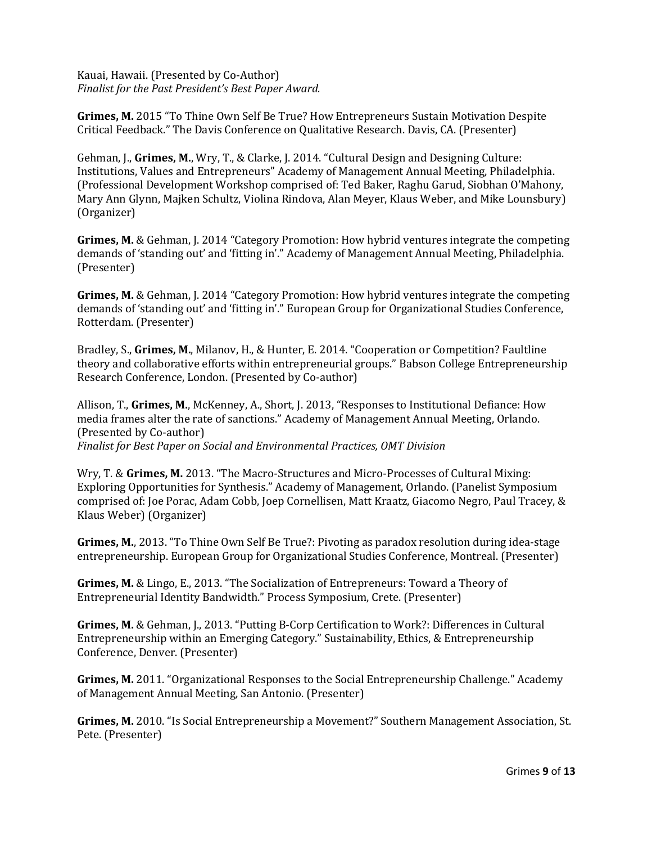Kauai, Hawaii. (Presented by Co-Author) Finalist for the Past President's Best Paper Award.

**Grimes, M.** 2015 "To Thine Own Self Be True? How Entrepreneurs Sustain Motivation Despite Critical Feedback." The Davis Conference on Qualitative Research. Davis, CA. (Presenter)

Gehman, J., Grimes, M., Wry, T., & Clarke, J. 2014. "Cultural Design and Designing Culture: Institutions, Values and Entrepreneurs" Academy of Management Annual Meeting, Philadelphia. (Professional Development Workshop comprised of: Ted Baker, Raghu Garud, Siobhan O'Mahony, Mary Ann Glynn, Majken Schultz, Violina Rindova, Alan Meyer, Klaus Weber, and Mike Lounsbury) (Organizer)

**Grimes, M.** & Gehman, J. 2014 "Category Promotion: How hybrid ventures integrate the competing demands of 'standing out' and 'fitting in'." Academy of Management Annual Meeting, Philadelphia. (Presenter)

**Grimes, M.** & Gehman, J. 2014 "Category Promotion: How hybrid ventures integrate the competing demands of 'standing out' and 'fitting in'." European Group for Organizational Studies Conference, Rotterdam. (Presenter)

Bradley, S., Grimes, M., Milanov, H., & Hunter, E. 2014. "Cooperation or Competition? Faultline theory and collaborative efforts within entrepreneurial groups." Babson College Entrepreneurship Research Conference, London. (Presented by Co-author)

Allison, T., Grimes, M., McKenney, A., Short, J. 2013, "Responses to Institutional Defiance: How media frames alter the rate of sanctions." Academy of Management Annual Meeting, Orlando. (Presented by Co-author) Finalist for Best Paper on Social and Environmental Practices, OMT Division

Wry, T. & Grimes, M. 2013. "The Macro-Structures and Micro-Processes of Cultural Mixing: Exploring Opportunities for Synthesis." Academy of Management, Orlando. (Panelist Symposium comprised of: Joe Porac, Adam Cobb, Joep Cornellisen, Matt Kraatz, Giacomo Negro, Paul Tracey, & Klaus Weber) (Organizer)

**Grimes, M.**, 2013. "To Thine Own Self Be True?: Pivoting as paradox resolution during idea-stage entrepreneurship. European Group for Organizational Studies Conference, Montreal. (Presenter)

**Grimes, M.** & Lingo, E., 2013. "The Socialization of Entrepreneurs: Toward a Theory of Entrepreneurial Identity Bandwidth." Process Symposium, Crete. (Presenter)

**Grimes, M.** & Gehman, J., 2013. "Putting B-Corp Certification to Work?: Differences in Cultural Entrepreneurship within an Emerging Category." Sustainability, Ethics, & Entrepreneurship Conference, Denver. (Presenter)

Grimes, M. 2011. "Organizational Responses to the Social Entrepreneurship Challenge." Academy of Management Annual Meeting, San Antonio. (Presenter)

**Grimes, M.** 2010. "Is Social Entrepreneurship a Movement?" Southern Management Association, St. Pete. (Presenter)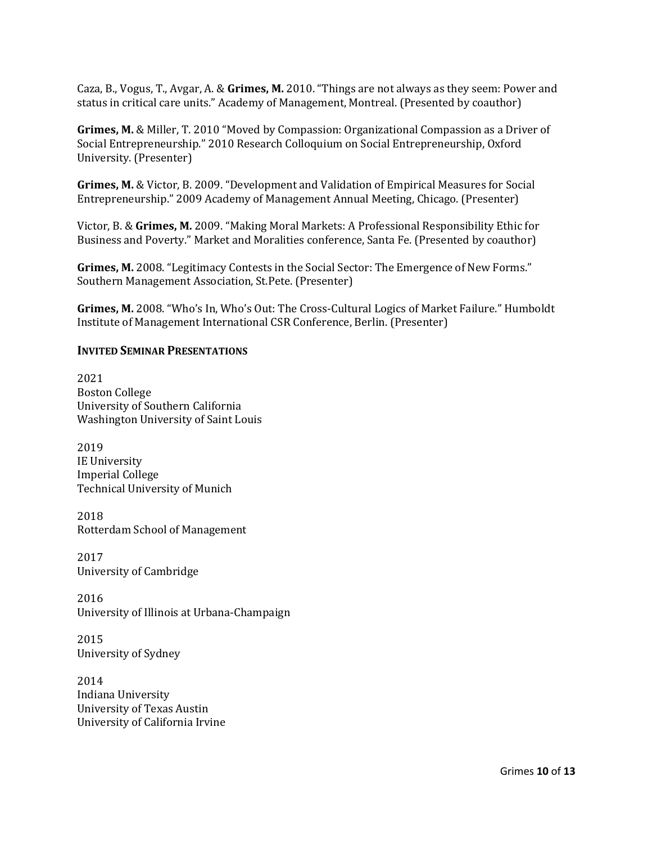Caza, B., Vogus, T., Avgar, A. & Grimes, M. 2010. "Things are not always as they seem: Power and status in critical care units." Academy of Management, Montreal. (Presented by coauthor)

**Grimes, M.** & Miller, T. 2010 "Moved by Compassion: Organizational Compassion as a Driver of Social Entrepreneurship." 2010 Research Colloquium on Social Entrepreneurship, Oxford University. (Presenter)

**Grimes, M.** & Victor, B. 2009. "Development and Validation of Empirical Measures for Social Entrepreneurship." 2009 Academy of Management Annual Meeting, Chicago. (Presenter)

Victor, B. & Grimes, M. 2009. "Making Moral Markets: A Professional Responsibility Ethic for Business and Poverty." Market and Moralities conference, Santa Fe. (Presented by coauthor)

**Grimes, M.** 2008. "Legitimacy Contests in the Social Sector: The Emergence of New Forms." Southern Management Association, St.Pete. (Presenter)

**Grimes, M.** 2008. "Who's In, Who's Out: The Cross-Cultural Logics of Market Failure." Humboldt Institute of Management International CSR Conference, Berlin. (Presenter)

#### **INVITED SEMINAR PRESENTATIONS**

2021 Boston College University of Southern California Washington University of Saint Louis

2019 IE University Imperial College Technical University of Munich

2018 Rotterdam School of Management

2017 University of Cambridge

2016 University of Illinois at Urbana-Champaign

2015 University of Sydney

2014 Indiana University University of Texas Austin University of California Irvine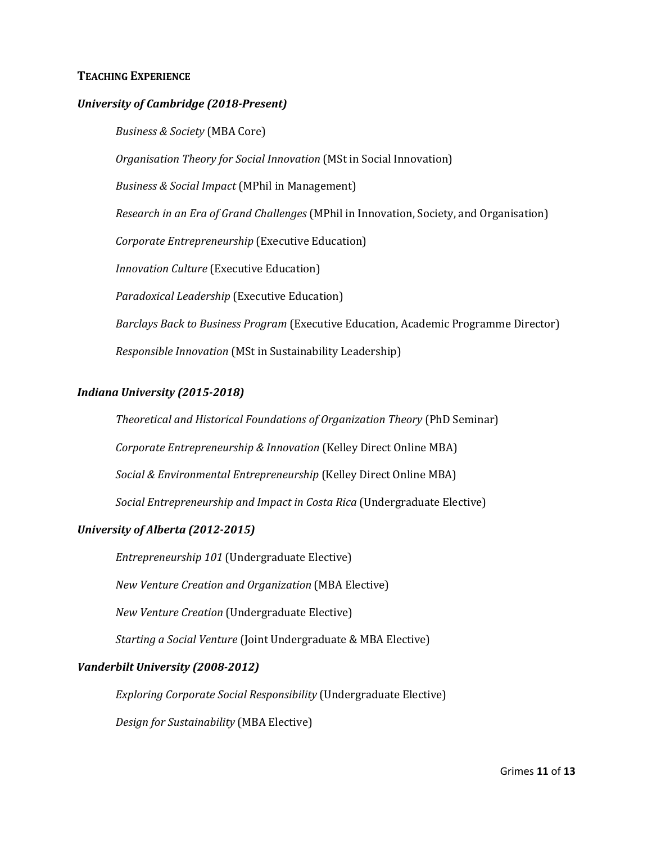#### **TEACHING EXPERIENCE**

#### *University of Cambridge (2018-Present)*

*Business & Society* (MBA Core)

*Organisation Theory for Social Innovation* (MSt in Social Innovation)

*Business & Social Impact* (MPhil in Management)

*Research in an Era of Grand Challenges* (MPhil in Innovation, Society, and Organisation)

*Corporate Entrepreneurship* (Executive Education)

*Innovation Culture* (Executive Education)

*Paradoxical Leadership* (Executive Education)

*Barclays Back to Business Program* (Executive Education, Academic Programme Director)

*Responsible Innovation* (MSt in Sustainability Leadership)

#### *Indiana University (2015-2018)*

*Theoretical and Historical Foundations of Organization Theory* (PhD Seminar) *Corporate Entrepreneurship & Innovation* (Kelley Direct Online MBA) *Social & Environmental Entrepreneurship* (Kelley Direct Online MBA) *Social Entrepreneurship and Impact in Costa Rica* (Undergraduate Elective)

#### *University of Alberta (2012-2015)*

*Entrepreneurship 101* (Undergraduate Elective)

*New Venture Creation and Organization* (MBA Elective)

*New Venture Creation* (Undergraduate Elective)

*Starting a Social Venture* (Joint Undergraduate & MBA Elective)

#### *Vanderbilt University (2008-2012)*

*Exploring Corporate Social Responsibility* (Undergraduate Elective)

*Design for Sustainability* (MBA Elective)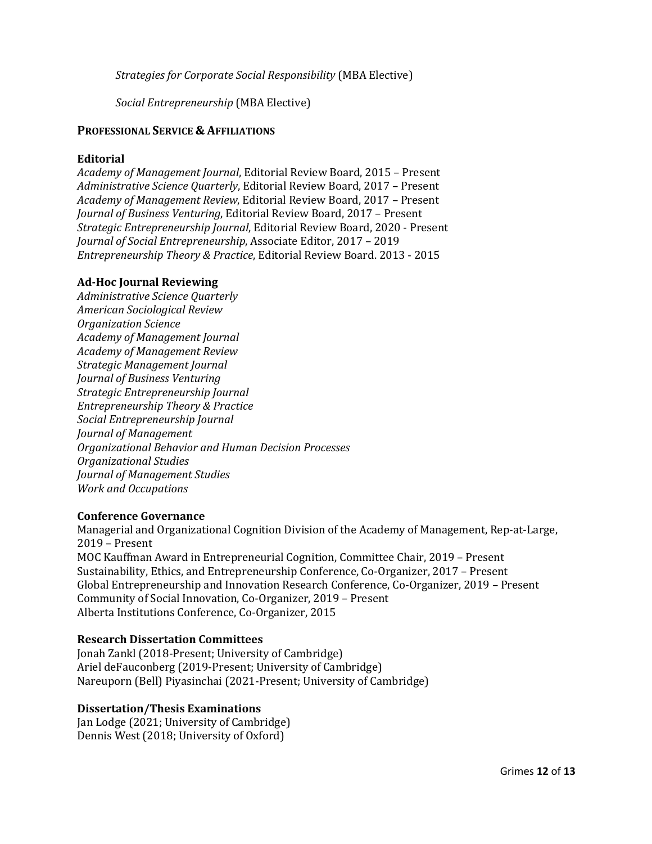*Strategies for Corporate Social Responsibility (MBA Elective)* 

*Social Entrepreneurship* (MBA Elective)

#### **PROFESSIONAL SERVICE & AFFILIATIONS**

#### **Editorial**

*Academy of Management Journal*, Editorial Review Board, 2015 – Present Administrative Science Quarterly, Editorial Review Board, 2017 - Present *Academy of Management Review*, Editorial Review Board, 2017 – Present *Journal of Business Venturing*, Editorial Review Board, 2017 – Present *Strategic Entrepreneurship Journal*, Editorial Review Board, 2020 - Present *Journal of Social Entrepreneurship*, Associate Editor, 2017 - 2019 *Entrepreneurship Theory & Practice*, Editorial Review Board. 2013 - 2015

#### **Ad-Hoc Journal Reviewing**

*Administrative Science Quarterly American Sociological Review Organization Science Academy of Management Journal Academy of Management Review Strategic Management Journal Journal of Business Venturing Strategic Entrepreneurship Journal Entrepreneurship Theory & Practice Social Entrepreneurship Journal Journal of Management Organizational Behavior and Human Decision Processes Organizational Studies Journal of Management Studies Work and Occupations*

#### **Conference Governance**

Managerial and Organizational Cognition Division of the Academy of Management, Rep-at-Large, 2019 – Present MOC Kauffman Award in Entrepreneurial Cognition, Committee Chair, 2019 – Present Sustainability, Ethics, and Entrepreneurship Conference, Co-Organizer, 2017 – Present Global Entrepreneurship and Innovation Research Conference, Co-Organizer, 2019 – Present Community of Social Innovation, Co-Organizer, 2019 - Present Alberta Institutions Conference, Co-Organizer, 2015

#### **Research Dissertation Committees**

Jonah Zankl (2018-Present; University of Cambridge) Ariel deFauconberg (2019-Present; University of Cambridge) Nareuporn (Bell) Piyasinchai (2021-Present; University of Cambridge)

#### **Dissertation/Thesis Examinations**

Jan Lodge (2021; University of Cambridge) Dennis West (2018; University of Oxford)